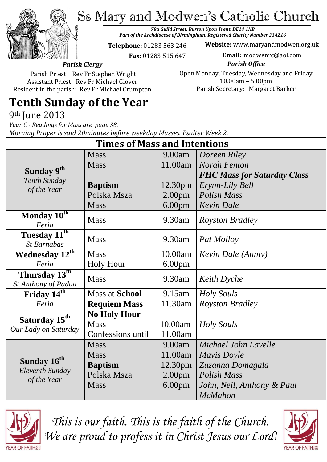Ss Mary and Modwen's Catholic Church

*78a Guild Street, Burton Upon Trent, DE14 1NB Part of the Archdiocese of Birmingham, Registered Charity Number 234216*

**Telephone:** 01283 563 246

**Website:** www.maryandmodwen.org.uk

 **Fax:** 01283 515 647

**Email:** modwenrc@aol.com

*Parish Clergy*

*Parish Office* Open Monday, Tuesday, Wednesday and Friday 10.00am – 5.00pm Parish Secretary:Margaret Barker

Parish Priest: Rev Fr Stephen Wright Assistant Priest: Rev Fr Michael Glover Resident in the parish: Rev Fr Michael Crumpton

# **Tenth Sunday of the Year**

9th June 2013

*Year C - Readings for Mass are page 38. Morning Prayer is said 20minutes before weekday Masses. Psalter Week 2.*

| <b>Times of Mass and Intentions</b>                          |                       |                     |                                    |
|--------------------------------------------------------------|-----------------------|---------------------|------------------------------------|
|                                                              | <b>Mass</b>           | 9.00am              | Doreen Riley                       |
| Sunday 9 <sup>th</sup><br><b>Tenth Sunday</b><br>of the Year | <b>Mass</b>           | 11.00am             | <b>Norah Fenton</b>                |
|                                                              |                       |                     | <b>FHC Mass for Saturday Class</b> |
|                                                              | <b>Baptism</b>        | 12.30 <sub>pm</sub> | Erynn-Lily Bell                    |
|                                                              | Polska Msza           | 2.00 <sub>pm</sub>  | <b>Polish Mass</b>                 |
|                                                              | <b>Mass</b>           | 6.00 <sub>pm</sub>  | <b>Kevin Dale</b>                  |
| Monday 10th<br>Feria                                         | <b>Mass</b>           | 9.30am              | <b>Royston Bradley</b>             |
| Tuesday 11 <sup>th</sup><br><b>St Barnabas</b>               | <b>Mass</b>           | 9.30am              | Pat Molloy                         |
| <b>Wednesday 12th</b>                                        | <b>Mass</b>           | 10.00am             | Kevin Dale (Anniv)                 |
| Feria                                                        | <b>Holy Hour</b>      | 6.00 <sub>pm</sub>  |                                    |
| Thursday 13 <sup>th</sup><br>St Anthony of Padua             | <b>Mass</b>           | 9.30am              | <b>Keith</b> Dyche                 |
| Friday 14 <sup>th</sup>                                      | <b>Mass at School</b> | 9.15am              | <b>Holy Souls</b>                  |
| Feria                                                        | <b>Requiem Mass</b>   | 11.30am             | <b>Royston Bradley</b>             |
| Saturday 15 <sup>th</sup><br>Our Lady on Saturday            | <b>No Holy Hour</b>   |                     |                                    |
|                                                              | <b>Mass</b>           | 10.00am             | Holy Souls                         |
|                                                              | Confessions until     | 11.00am             |                                    |
| Sunday 16 <sup>th</sup><br>Eleventh Sunday<br>of the Year    | <b>Mass</b>           | 9.00am              | Michael John Layelle               |
|                                                              | <b>Mass</b>           | 11.00am             | Mavis Doyle                        |
|                                                              | <b>Baptism</b>        | 12.30 <sub>pm</sub> | Zuzanna Domagala                   |
|                                                              | Polska Msza           | 2.00 <sub>pm</sub>  | Polish Mass                        |
|                                                              | <b>Mass</b>           | 6.00 <sub>pm</sub>  | John, Neil, Anthony & Paul         |
|                                                              |                       |                     | <b>McMahon</b>                     |



*This is our faith. This is the faith of the Church. We are proud to profess it in Christ Jesus our Lord!*

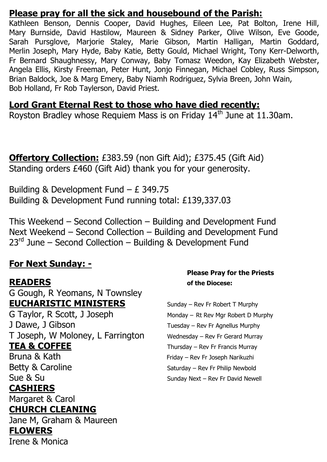#### **Please pray for all the sick and housebound of the Parish:**

Kathleen Benson, Dennis Cooper, David Hughes, Eileen Lee, Pat Bolton, Irene Hill, Mary Burnside, David Hastilow, Maureen & Sidney Parker, Olive Wilson, Eve Goode, Sarah Pursglove, Marjorie Staley, Marie Gibson, Martin Halligan, Martin Goddard, Merlin Joseph, Mary Hyde, Baby Katie, Betty Gould, Michael Wright, Tony Kerr-Delworth, Fr Bernard Shaughnessy, Mary Conway, Baby Tomasz Weedon, Kay Elizabeth Webster, Angela Ellis, Kirsty Freeman, Peter Hunt, Jonjo Finnegan, Michael Cobley, Russ Simpson, Brian Baldock, Joe & Marg Emery, Baby Niamh Rodriguez, Sylvia Breen, John Wain, Bob Holland, Fr Rob Taylerson, David Priest.

#### **Lord Grant Eternal Rest to those who have died recently:**

Royston Bradley whose Requiem Mass is on Friday  $14<sup>th</sup>$  June at 11.30am.

**Offertory Collection:** £383.59 (non Gift Aid); £375.45 (Gift Aid) Standing orders £460 (Gift Aid) thank you for your generosity.

Building & Development Fund – £ 349.75 Building & Development Fund running total: £139,337.03

This Weekend – Second Collection – Building and Development Fund Next Weekend – Second Collection – Building and Development Fund  $23<sup>rd</sup>$  June – Second Collection – Building & Development Fund

#### **For Next Sunday: -**

G Gough, R Yeomans, N Townsley **EUCHARISTIC MINISTERS** Sunday – Rev Fr Robert T Murphy

J Dawe, J Gibson Tuesday – Rev Fr Agnellus Murphy T Joseph, W Moloney, L Farrington Wednesday – Rev Fr Gerard Murray **TEA & COFFEE** Thursday – Rev Fr Francis Murray

#### **CASHIERS**

Margaret & Carol

### **CHURCH CLEANING**

Jane M, Graham & Maureen **FLOWERS**  Irene & Monica

#### **Please Pray for the Priests READERS of the Diocese:**

G Taylor, R Scott, J Joseph Monday – Rt Rev Mgr Robert D Murphy Bruna & Kath Friday – Rev Fr Joseph Narikuzhi Betty & Caroline Saturday – Rev Fr Philip Newbold Sue & Su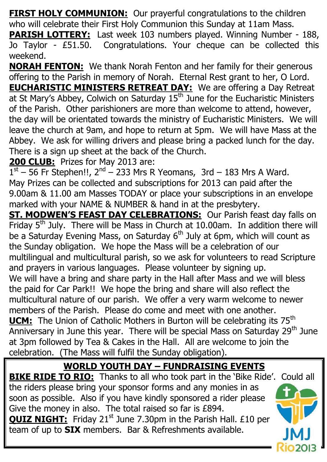**FIRST HOLY COMMUNION:** Our prayerful congratulations to the children who will celebrate their First Holy Communion this Sunday at 11am Mass.

**PARISH LOTTERY:** Last week 103 numbers played. Winning Number - 188, Jo Taylor - £51.50. Congratulations. Your cheque can be collected this weekend.

**NORAH FENTON:** We thank Norah Fenton and her family for their generous offering to the Parish in memory of Norah. Eternal Rest grant to her, O Lord. **EUCHARISTIC MINISTERS RETREAT DAY:** We are offering a Day Retreat at St Mary's Abbey, Colwich on Saturday  $15<sup>th</sup>$  June for the Eucharistic Ministers of the Parish. Other parishioners are more than welcome to attend, however, the day will be orientated towards the ministry of Eucharistic Ministers. We will leave the church at 9am, and hope to return at 5pm. We will have Mass at the Abbey. We ask for willing drivers and please bring a packed lunch for the day. There is a sign up sheet at the back of the Church.

### **200 CLUB:** Prizes for May 2013 are:

 $1<sup>st</sup> - 56$  Fr Stephen!!,  $2<sup>nd</sup> - 233$  Mrs R Yeomans, 3rd - 183 Mrs A Ward. May Prizes can be collected and subscriptions for 2013 can paid after the 9.00am & 11.00 am Masses TODAY or place your subscriptions in an envelope marked with your NAME & NUMBER & hand in at the presbytery.

**ST. MODWEN'S FEAST DAY CELEBRATIONS:** Our Parish feast day falls on Friday  $5<sup>th</sup>$  July. There will be Mass in Church at 10.00am. In addition there will be a Saturday Evening Mass, on Saturday  $6<sup>th</sup>$  July at 6pm, which will count as the Sunday obligation. We hope the Mass will be a celebration of our multilingual and multicultural parish, so we ask for volunteers to read Scripture and prayers in various languages. Please volunteer by signing up. We will have a bring and share party in the Hall after Mass and we will bless the paid for Car Park!! We hope the bring and share will also reflect the multicultural nature of our parish. We offer a very warm welcome to newer members of the Parish. Please do come and meet with one another. **UCM:** The Union of Catholic Mothers in Burton will be celebrating its 75<sup>th</sup> Anniversary in June this year. There will be special Mass on Saturday 29<sup>th</sup> June at 3pm followed by Tea & Cakes in the Hall. All are welcome to join the

celebration. (The Mass will fulfil the Sunday obligation).

## **WORLD YOUTH DAY – FUNDRAISING EVENTS**

**BIKE RIDE TO RIO:** Thanks to all who took part in the 'Bike Ride'. Could all the riders please bring your sponsor forms and any monies in as soon as possible. Also if you have kindly sponsored a rider please Give the money in also. The total raised so far is £894. **QUIZ NIGHT:** Friday 21<sup>st</sup> June 7.30pm in the Parish Hall. £10 per team of up to **SIX** members. Bar & Refreshments available.